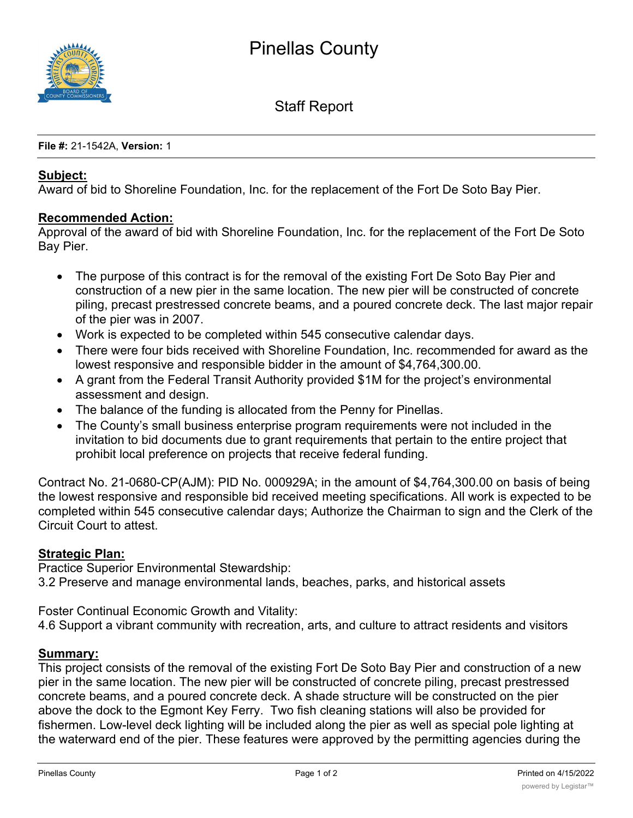

Staff Report

**File #:** 21-1542A, **Version:** 1

### **Subject:**

Award of bid to Shoreline Foundation, Inc. for the replacement of the Fort De Soto Bay Pier.

#### **Recommended Action:**

Approval of the award of bid with Shoreline Foundation, Inc. for the replacement of the Fort De Soto Bay Pier.

- The purpose of this contract is for the removal of the existing Fort De Soto Bay Pier and construction of a new pier in the same location. The new pier will be constructed of concrete piling, precast prestressed concrete beams, and a poured concrete deck. The last major repair of the pier was in 2007.
- · Work is expected to be completed within 545 consecutive calendar days.
- · There were four bids received with Shoreline Foundation, Inc. recommended for award as the lowest responsive and responsible bidder in the amount of \$4,764,300.00.
- · A grant from the Federal Transit Authority provided \$1M for the project's environmental assessment and design.
- The balance of the funding is allocated from the Penny for Pinellas.
- The County's small business enterprise program requirements were not included in the invitation to bid documents due to grant requirements that pertain to the entire project that prohibit local preference on projects that receive federal funding.

Contract No. 21-0680-CP(AJM): PID No. 000929A; in the amount of \$4,764,300.00 on basis of being the lowest responsive and responsible bid received meeting specifications. All work is expected to be completed within 545 consecutive calendar days; Authorize the Chairman to sign and the Clerk of the Circuit Court to attest.

### **Strategic Plan:**

Practice Superior Environmental Stewardship: 3.2 Preserve and manage environmental lands, beaches, parks, and historical assets

Foster Continual Economic Growth and Vitality:

4.6 Support a vibrant community with recreation, arts, and culture to attract residents and visitors

### **Summary:**

This project consists of the removal of the existing Fort De Soto Bay Pier and construction of a new pier in the same location. The new pier will be constructed of concrete piling, precast prestressed concrete beams, and a poured concrete deck. A shade structure will be constructed on the pier above the dock to the Egmont Key Ferry. Two fish cleaning stations will also be provided for fishermen. Low-level deck lighting will be included along the pier as well as special pole lighting at the waterward end of the pier. These features were approved by the permitting agencies during the